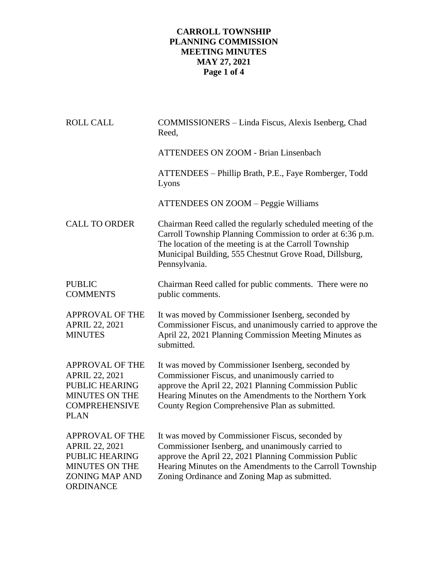## **CARROLL TOWNSHIP PLANNING COMMISSION MEETING MINUTES MAY 27, 2021 Page 1 of 4**

| <b>ROLL CALL</b>                                                                                                                         | COMMISSIONERS - Linda Fiscus, Alexis Isenberg, Chad<br>Reed,                                                                                                                                                                                                                 |
|------------------------------------------------------------------------------------------------------------------------------------------|------------------------------------------------------------------------------------------------------------------------------------------------------------------------------------------------------------------------------------------------------------------------------|
|                                                                                                                                          | <b>ATTENDEES ON ZOOM - Brian Linsenbach</b>                                                                                                                                                                                                                                  |
|                                                                                                                                          | ATTENDEES – Phillip Brath, P.E., Faye Romberger, Todd<br>Lyons                                                                                                                                                                                                               |
|                                                                                                                                          | <b>ATTENDEES ON ZOOM - Peggie Williams</b>                                                                                                                                                                                                                                   |
| <b>CALL TO ORDER</b>                                                                                                                     | Chairman Reed called the regularly scheduled meeting of the<br>Carroll Township Planning Commission to order at 6:36 p.m.<br>The location of the meeting is at the Carroll Township<br>Municipal Building, 555 Chestnut Grove Road, Dillsburg,<br>Pennsylvania.              |
| <b>PUBLIC</b><br><b>COMMENTS</b>                                                                                                         | Chairman Reed called for public comments. There were no<br>public comments.                                                                                                                                                                                                  |
| <b>APPROVAL OF THE</b><br><b>APRIL 22, 2021</b><br><b>MINUTES</b>                                                                        | It was moved by Commissioner Isenberg, seconded by<br>Commissioner Fiscus, and unanimously carried to approve the<br>April 22, 2021 Planning Commission Meeting Minutes as<br>submitted.                                                                                     |
| <b>APPROVAL OF THE</b><br><b>APRIL 22, 2021</b><br><b>PUBLIC HEARING</b><br><b>MINUTES ON THE</b><br><b>COMPREHENSIVE</b><br><b>PLAN</b> | It was moved by Commissioner Isenberg, seconded by<br>Commissioner Fiscus, and unanimously carried to<br>approve the April 22, 2021 Planning Commission Public<br>Hearing Minutes on the Amendments to the Northern York<br>County Region Comprehensive Plan as submitted.   |
| <b>APPROVAL OF THE</b><br><b>APRIL 22, 2021</b><br>PUBLIC HEARING<br><b>MINUTES ON THE</b><br><b>ZONING MAP AND</b><br><b>ORDINANCE</b>  | It was moved by Commissioner Fiscus, seconded by<br>Commissioner Isenberg, and unanimously carried to<br>approve the April 22, 2021 Planning Commission Public<br>Hearing Minutes on the Amendments to the Carroll Township<br>Zoning Ordinance and Zoning Map as submitted. |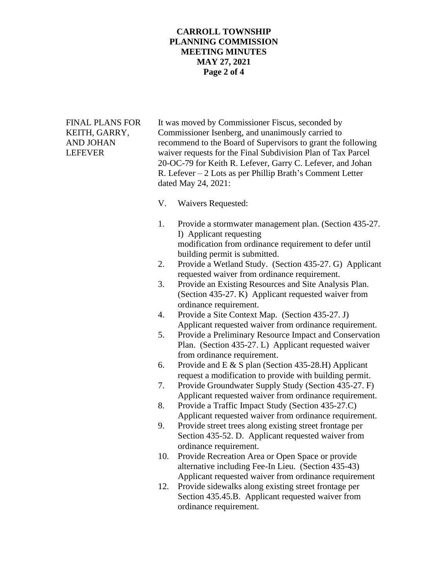## **CARROLL TOWNSHIP PLANNING COMMISSION MEETING MINUTES MAY 27, 2021 Page 2 of 4**

FINAL PLANS FOR It was moved by Commissioner Fiscus, seconded by KEITH, GARRY, Commissioner Isenberg, and unanimously carried to AND JOHAN recommend to the Board of Supervisors to grant the following LEFEVER waiver requests for the Final Subdivision Plan of Tax Parcel 20-OC-79 for Keith R. Lefever, Garry C. Lefever, and Johan R. Lefever – 2 Lots as per Phillip Brath's Comment Letter dated May 24, 2021:

- V. Waivers Requested:
- 1. Provide a stormwater management plan. (Section 435-27. I) Applicant requesting modification from ordinance requirement to defer until building permit is submitted.
- 2. Provide a Wetland Study. (Section 435-27. G) Applicant requested waiver from ordinance requirement.
- 3. Provide an Existing Resources and Site Analysis Plan. (Section 435-27. K) Applicant requested waiver from ordinance requirement.
- 4. Provide a Site Context Map. (Section 435-27. J) Applicant requested waiver from ordinance requirement.
- 5. Provide a Preliminary Resource Impact and Conservation Plan. (Section 435-27. L) Applicant requested waiver from ordinance requirement.
- 6. Provide and E & S plan (Section 435-28.H) Applicant request a modification to provide with building permit.
- 7. Provide Groundwater Supply Study (Section 435-27. F) Applicant requested waiver from ordinance requirement.
- 8. Provide a Traffic Impact Study (Section 435-27.C) Applicant requested waiver from ordinance requirement.
- 9. Provide street trees along existing street frontage per Section 435-52. D. Applicant requested waiver from ordinance requirement.
- 10. Provide Recreation Area or Open Space or provide alternative including Fee-In Lieu. (Section 435-43) Applicant requested waiver from ordinance requirement
- 12. Provide sidewalks along existing street frontage per Section 435.45.B. Applicant requested waiver from ordinance requirement.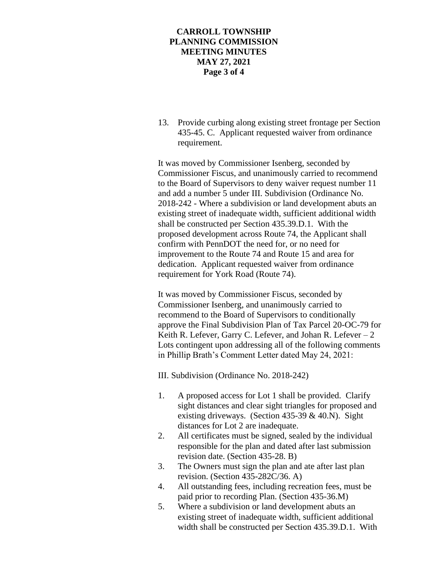## **CARROLL TOWNSHIP PLANNING COMMISSION MEETING MINUTES MAY 27, 2021 Page 3 of 4**

13. Provide curbing along existing street frontage per Section 435-45. C. Applicant requested waiver from ordinance requirement.

It was moved by Commissioner Isenberg, seconded by Commissioner Fiscus, and unanimously carried to recommend to the Board of Supervisors to deny waiver request number 11 and add a number 5 under III. Subdivision (Ordinance No. 2018-242 - Where a subdivision or land development abuts an existing street of inadequate width, sufficient additional width shall be constructed per Section 435.39.D.1. With the proposed development across Route 74, the Applicant shall confirm with PennDOT the need for, or no need for improvement to the Route 74 and Route 15 and area for dedication. Applicant requested waiver from ordinance requirement for York Road (Route 74).

It was moved by Commissioner Fiscus, seconded by Commissioner Isenberg, and unanimously carried to recommend to the Board of Supervisors to conditionally approve the Final Subdivision Plan of Tax Parcel 20-OC-79 for Keith R. Lefever, Garry C. Lefever, and Johan R. Lefever  $-2$ Lots contingent upon addressing all of the following comments in Phillip Brath's Comment Letter dated May 24, 2021:

III. Subdivision (Ordinance No. 2018-242)

- 1. A proposed access for Lot 1 shall be provided. Clarify sight distances and clear sight triangles for proposed and existing driveways. (Section  $435-39 \& 40$ .N). Sight distances for Lot 2 are inadequate.
- 2. All certificates must be signed, sealed by the individual responsible for the plan and dated after last submission revision date. (Section 435-28. B)
- 3. The Owners must sign the plan and ate after last plan revision. (Section 435-282C/36. A)
- 4. All outstanding fees, including recreation fees, must be paid prior to recording Plan. (Section 435-36.M)
- 5. Where a subdivision or land development abuts an existing street of inadequate width, sufficient additional width shall be constructed per Section 435.39.D.1. With